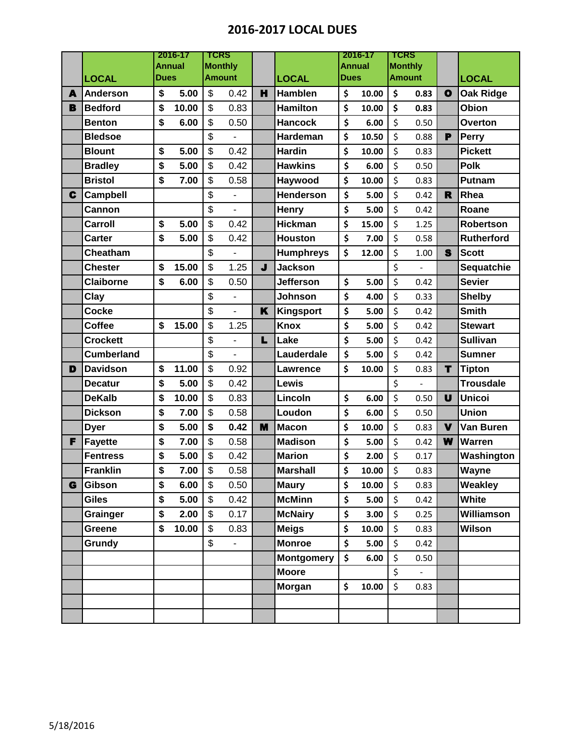## **2016-2017 LOCAL DUES**

|   |                   | 2016-17<br><b>Annual</b> |       | <b>TCRS</b><br><b>Monthly</b> |                              |    |                   | 2016-17<br><b>Annual</b> |       | TCRS<br><b>Monthly</b> |                |              |                   |
|---|-------------------|--------------------------|-------|-------------------------------|------------------------------|----|-------------------|--------------------------|-------|------------------------|----------------|--------------|-------------------|
|   | <b>LOCAL</b>      | Dues                     |       |                               | <b>Amount</b>                |    | <b>LOCAL</b>      | Dues                     |       |                        | <b>Amount</b>  |              | <b>LOCAL</b>      |
| A | <b>Anderson</b>   | \$                       | 5.00  | \$                            | 0.42                         | H  | <b>Hamblen</b>    | \$                       | 10.00 | \$                     | 0.83           | $\mathbf{o}$ | <b>Oak Ridge</b>  |
| В | <b>Bedford</b>    | \$                       | 10.00 | \$                            | 0.83                         |    | <b>Hamilton</b>   | \$                       | 10.00 | \$                     | 0.83           |              | Obion             |
|   | <b>Benton</b>     | \$                       | 6.00  | \$                            | 0.50                         |    | <b>Hancock</b>    | \$                       | 6.00  | $\zeta$                | 0.50           |              | Overton           |
|   | <b>Bledsoe</b>    |                          |       | \$                            |                              |    | Hardeman          | \$                       | 10.50 | \$                     | 0.88           | P            | <b>Perry</b>      |
|   | <b>Blount</b>     | \$                       | 5.00  | \$                            | 0.42                         |    | <b>Hardin</b>     | \$                       | 10.00 | \$                     | 0.83           |              | <b>Pickett</b>    |
|   | <b>Bradley</b>    | \$                       | 5.00  | \$                            | 0.42                         |    | <b>Hawkins</b>    | \$                       | 6.00  | \$                     | 0.50           |              | <b>Polk</b>       |
|   | <b>Bristol</b>    | \$                       | 7.00  | \$                            | 0.58                         |    | Haywood           | \$                       | 10.00 | \$                     | 0.83           |              | Putnam            |
| C | <b>Campbell</b>   |                          |       | \$                            |                              |    | <b>Henderson</b>  | \$                       | 5.00  | \$                     | 0.42           | $\mathbf R$  | Rhea              |
|   | Cannon            |                          |       | \$                            | $\overline{a}$               |    | Henry             | \$                       | 5.00  | \$                     | 0.42           |              | Roane             |
|   | Carroll           | \$                       | 5.00  | \$                            | 0.42                         |    | <b>Hickman</b>    | \$                       | 15.00 | \$                     | 1.25           |              | Robertson         |
|   | Carter            | \$                       | 5.00  | \$                            | 0.42                         |    | <b>Houston</b>    | \$                       | 7.00  | \$                     | 0.58           |              | <b>Rutherford</b> |
|   | Cheatham          |                          |       | \$                            |                              |    | <b>Humphreys</b>  | \$                       | 12.00 | \$                     | 1.00           | S            | <b>Scott</b>      |
|   | <b>Chester</b>    | \$                       | 15.00 | \$                            | 1.25                         | J  | <b>Jackson</b>    |                          |       | \$                     |                |              | Sequatchie        |
|   | <b>Claiborne</b>  | \$                       | 6.00  | \$                            | 0.50                         |    | <b>Jefferson</b>  | \$                       | 5.00  | \$                     | 0.42           |              | <b>Sevier</b>     |
|   | Clay              |                          |       | \$                            | $\overline{a}$               |    | <b>Johnson</b>    | \$                       | 4.00  | \$                     | 0.33           |              | <b>Shelby</b>     |
|   | <b>Cocke</b>      |                          |       | \$                            | $\overline{a}$               | K  | Kingsport         | \$                       | 5.00  | $\zeta$                | 0.42           |              | <b>Smith</b>      |
|   | <b>Coffee</b>     | \$                       | 15.00 | \$                            | 1.25                         |    | <b>Knox</b>       | \$                       | 5.00  | \$                     | 0.42           |              | <b>Stewart</b>    |
|   | <b>Crockett</b>   |                          |       | \$                            | $\overline{a}$               | L. | Lake              | \$                       | 5.00  | \$                     | 0.42           |              | <b>Sullivan</b>   |
|   | <b>Cumberland</b> |                          |       | \$                            |                              |    | Lauderdale        | \$                       | 5.00  | \$                     | 0.42           |              | <b>Sumner</b>     |
| D | <b>Davidson</b>   | \$                       | 11.00 | \$                            | 0.92                         |    | <b>Lawrence</b>   | \$                       | 10.00 | \$                     | 0.83           | T            | <b>Tipton</b>     |
|   | <b>Decatur</b>    | \$                       | 5.00  | \$                            | 0.42                         |    | Lewis             |                          |       | \$                     |                |              | <b>Trousdale</b>  |
|   | <b>DeKalb</b>     | \$                       | 10.00 | \$                            | 0.83                         |    | Lincoln           | \$                       | 6.00  | \$                     | 0.50           | U            | <b>Unicoi</b>     |
|   | <b>Dickson</b>    | \$                       | 7.00  | \$                            | 0.58                         |    | Loudon            | \$                       | 6.00  | \$                     | 0.50           |              | <b>Union</b>      |
|   | <b>Dyer</b>       | \$                       | 5.00  | \$                            | 0.42                         | M  | <b>Macon</b>      | \$                       | 10.00 | \$                     | 0.83           | $\mathbf v$  | Van Buren         |
| F | <b>Fayette</b>    | \$                       | 7.00  | \$                            | 0.58                         |    | <b>Madison</b>    | \$                       | 5.00  | \$                     | 0.42           | W            | Warren            |
|   | <b>Fentress</b>   | \$                       | 5.00  | \$                            | 0.42                         |    | <b>Marion</b>     | \$                       | 2.00  | \$                     | 0.17           |              | Washington        |
|   | <b>Franklin</b>   | \$                       | 7.00  | \$                            | 0.58                         |    | <b>Marshall</b>   | \$                       | 10.00 | \$                     | 0.83           |              | Wayne             |
| G | <b>Gibson</b>     | \$                       | 6.00  | \$                            | 0.50                         |    | <b>Maury</b>      | \$                       | 10.00 | $\zeta$                | 0.83           |              | Weakley           |
|   | <b>Giles</b>      | \$                       | 5.00  | \$                            | 0.42                         |    | <b>McMinn</b>     | \$                       | 5.00  | \$                     | 0.42           |              | <b>White</b>      |
|   | Grainger          | \$                       | 2.00  | \$                            | 0.17                         |    | <b>McNairy</b>    | \$                       | 3.00  | \$                     | 0.25           |              | Williamson        |
|   | Greene            | \$                       | 10.00 | \$                            | 0.83                         |    | <b>Meigs</b>      | \$                       | 10.00 | \$                     | 0.83           |              | <b>Wilson</b>     |
|   | Grundy            |                          |       | \$                            | $\qquad \qquad \blacksquare$ |    | <b>Monroe</b>     | \$                       | 5.00  | \$                     | 0.42           |              |                   |
|   |                   |                          |       |                               |                              |    | <b>Montgomery</b> | \$                       | 6.00  | \$                     | 0.50           |              |                   |
|   |                   |                          |       |                               |                              |    | <b>Moore</b>      |                          |       | \$                     | $\blacksquare$ |              |                   |
|   |                   |                          |       |                               |                              |    | <b>Morgan</b>     | \$                       | 10.00 | \$                     | 0.83           |              |                   |
|   |                   |                          |       |                               |                              |    |                   |                          |       |                        |                |              |                   |
|   |                   |                          |       |                               |                              |    |                   |                          |       |                        |                |              |                   |